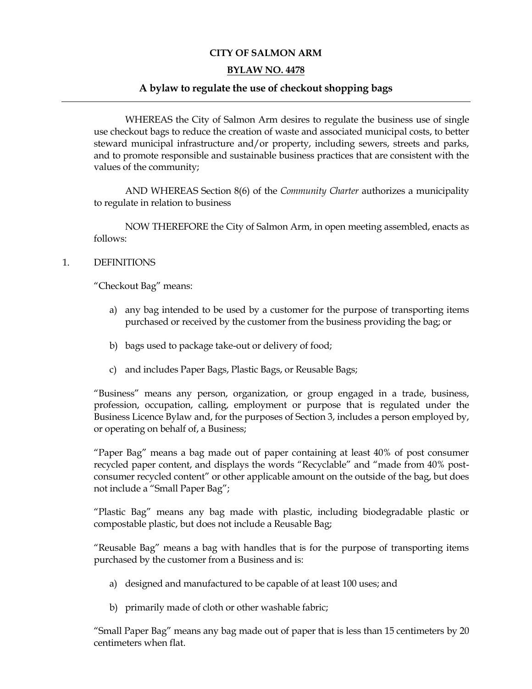# **CITY OF SALMON ARM**

#### **BYLAW NO. 4478**

#### **A bylaw to regulate the use of checkout shopping bags**

WHEREAS the City of Salmon Arm desires to regulate the business use of single use checkout bags to reduce the creation of waste and associated municipal costs, to better steward municipal infrastructure and/or property, including sewers, streets and parks, and to promote responsible and sustainable business practices that are consistent with the values of the community;

AND WHEREAS Section 8(6) of the *Community Charter* authorizes a municipality to regulate in relation to business

NOW THEREFORE the City of Salmon Arm, in open meeting assembled, enacts as follows:

#### 1. DEFINITIONS

"Checkout Bag" means:

- a) any bag intended to be used by a customer for the purpose of transporting items purchased or received by the customer from the business providing the bag; or
- b) bags used to package take-out or delivery of food;
- c) and includes Paper Bags, Plastic Bags, or Reusable Bags;

"Business" means any person, organization, or group engaged in a trade, business, profession, occupation, calling, employment or purpose that is regulated under the Business Licence Bylaw and, for the purposes of Section 3, includes a person employed by, or operating on behalf of, a Business;

"Paper Bag" means a bag made out of paper containing at least 40% of post consumer recycled paper content, and displays the words "Recyclable" and "made from 40% postconsumer recycled content" or other applicable amount on the outside of the bag, but does not include a "Small Paper Bag";

"Plastic Bag" means any bag made with plastic, including biodegradable plastic or compostable plastic, but does not include a Reusable Bag;

"Reusable Bag" means a bag with handles that is for the purpose of transporting items purchased by the customer from a Business and is:

- a) designed and manufactured to be capable of at least 100 uses; and
- b) primarily made of cloth or other washable fabric;

"Small Paper Bag" means any bag made out of paper that is less than 15 centimeters by 20 centimeters when flat.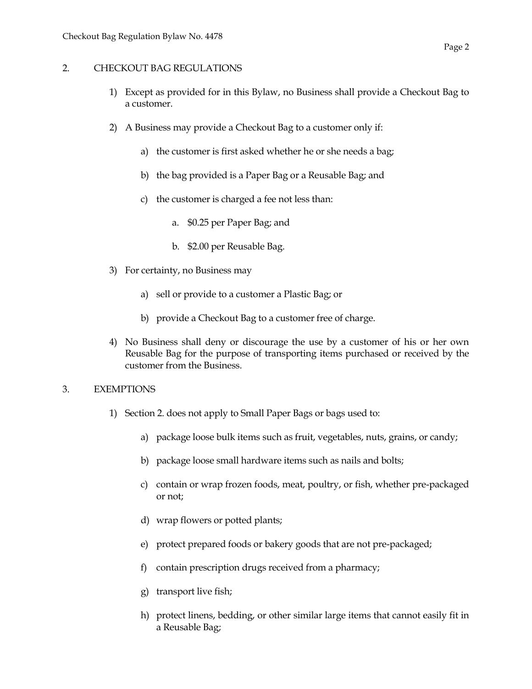#### 2. CHECKOUT BAG REGULATIONS

- 1) Except as provided for in this Bylaw, no Business shall provide a Checkout Bag to a customer.
- 2) A Business may provide a Checkout Bag to a customer only if:
	- a) the customer is first asked whether he or she needs a bag;
	- b) the bag provided is a Paper Bag or a Reusable Bag; and
	- c) the customer is charged a fee not less than:
		- a. \$0.25 per Paper Bag; and
		- b. \$2.00 per Reusable Bag.
- 3) For certainty, no Business may
	- a) sell or provide to a customer a Plastic Bag; or
	- b) provide a Checkout Bag to a customer free of charge.
- 4) No Business shall deny or discourage the use by a customer of his or her own Reusable Bag for the purpose of transporting items purchased or received by the customer from the Business.

# 3. EXEMPTIONS

- 1) Section 2. does not apply to Small Paper Bags or bags used to:
	- a) package loose bulk items such as fruit, vegetables, nuts, grains, or candy;
	- b) package loose small hardware items such as nails and bolts;
	- c) contain or wrap frozen foods, meat, poultry, or fish, whether pre-packaged or not;
	- d) wrap flowers or potted plants;
	- e) protect prepared foods or bakery goods that are not pre-packaged;
	- f) contain prescription drugs received from a pharmacy;
	- g) transport live fish;
	- h) protect linens, bedding, or other similar large items that cannot easily fit in a Reusable Bag;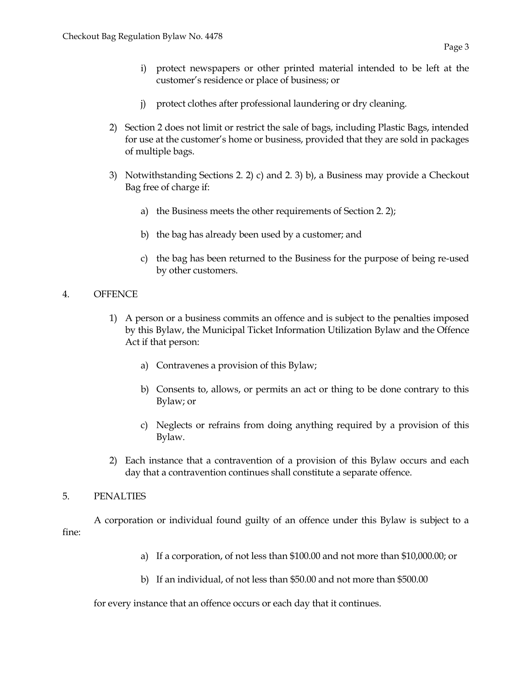- i) protect newspapers or other printed material intended to be left at the customer's residence or place of business; or
- j) protect clothes after professional laundering or dry cleaning.
- 2) Section 2 does not limit or restrict the sale of bags, including Plastic Bags, intended for use at the customer's home or business, provided that they are sold in packages of multiple bags.
- 3) Notwithstanding Sections 2. 2) c) and 2. 3) b), a Business may provide a Checkout Bag free of charge if:
	- a) the Business meets the other requirements of Section 2. 2);
	- b) the bag has already been used by a customer; and
	- c) the bag has been returned to the Business for the purpose of being re-used by other customers.

# 4. OFFENCE

- 1) A person or a business commits an offence and is subject to the penalties imposed by this Bylaw, the Municipal Ticket Information Utilization Bylaw and the Offence Act if that person:
	- a) Contravenes a provision of this Bylaw;
	- b) Consents to, allows, or permits an act or thing to be done contrary to this Bylaw; or
	- c) Neglects or refrains from doing anything required by a provision of this Bylaw.
- 2) Each instance that a contravention of a provision of this Bylaw occurs and each day that a contravention continues shall constitute a separate offence.

# 5. PENALTIES

A corporation or individual found guilty of an offence under this Bylaw is subject to a fine:

- a) If a corporation, of not less than \$100.00 and not more than \$10,000.00; or
- b) If an individual, of not less than \$50.00 and not more than \$500.00

for every instance that an offence occurs or each day that it continues.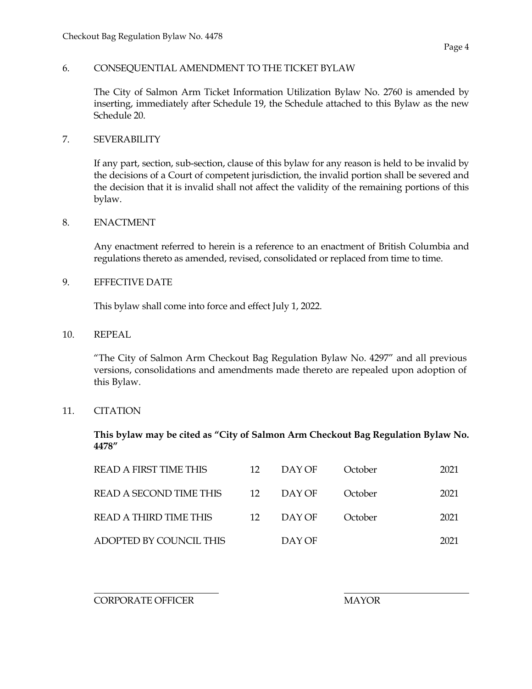# 6. CONSEQUENTIAL AMENDMENT TO THE TICKET BYLAW

The City of Salmon Arm Ticket Information Utilization Bylaw No. 2760 is amended by inserting, immediately after Schedule 19, the Schedule attached to this Bylaw as the new Schedule 20.

#### 7. SEVERABILITY

If any part, section, sub-section, clause of this bylaw for any reason is held to be invalid by the decisions of a Court of competent jurisdiction, the invalid portion shall be severed and the decision that it is invalid shall not affect the validity of the remaining portions of this bylaw.

# 8. ENACTMENT

Any enactment referred to herein is a reference to an enactment of British Columbia and regulations thereto as amended, revised, consolidated or replaced from time to time.

#### 9. EFFECTIVE DATE

This bylaw shall come into force and effect July 1, 2022.

#### 10. REPEAL

"The City of Salmon Arm Checkout Bag Regulation Bylaw No. 4297" and all previous versions, consolidations and amendments made thereto are repealed upon adoption of this Bylaw.

# 11. CITATION

**This bylaw may be cited as "City of Salmon Arm Checkout Bag Regulation Bylaw No. 4478"**

| <b>READ A FIRST TIME THIS</b> | 12 | DAY OF | October | 2021 |
|-------------------------------|----|--------|---------|------|
| READ A SECOND TIME THIS       | 12 | DAY OF | October | 2021 |
| READ A THIRD TIME THIS        | 12 | DAY OF | October | 2021 |
| ADOPTED BY COUNCIL THIS       |    | DAY OF |         | 2021 |

CORPORATE OFFICER THE MAYOR